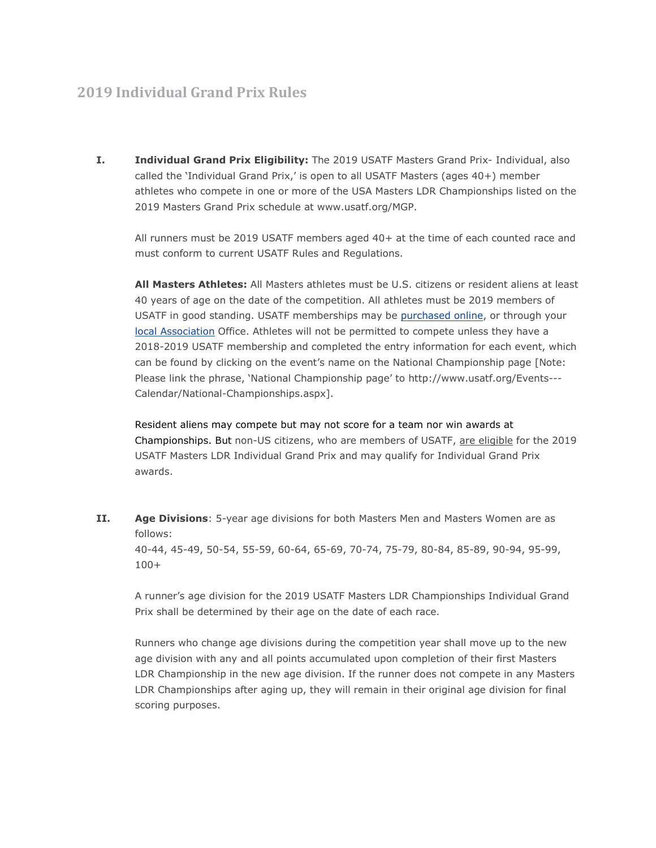## **2019 Individual Grand Prix Rules**

**I. Individual Grand Prix Eligibility:** The 2019 USATF Masters Grand Prix- Individual, also called the 'Individual Grand Prix,' is open to all USATF Masters (ages 40+) member athletes who compete in one or more of the USA Masters LDR Championships listed on the 2019 Masters Grand Prix schedule at www.usatf.org/MGP.

All runners must be 2019 USATF members aged 40+ at the time of each counted race and must conform to current USATF Rules and Regulations.

**All Masters Athletes:** All Masters athletes must be U.S. citizens or resident aliens at least 40 years of age on the date of the competition. All athletes must be 2019 members of USATF in good standing. USATF memberships may be [purchased](https://www.usatf.org/membership/application/) online, or through your local [Association](http://www.usatf.org/associations/) Office. Athletes will not be permitted to compete unless they have a 2018-2019 USATF membership and completed the entry information for each event, which can be found by clicking on the event's name on the National Championship page [Note: Please link the phrase, 'National Championship page' to http://www.usatf.org/Events--- Calendar/National-Championships.aspx].

Resident aliens may compete but may not score for a team nor win awards at Championships. But non-US citizens, who are members of USATF, are eligible for the 2019 USATF Masters LDR Individual Grand Prix and may qualify for Individual Grand Prix awards.

**II. Age Divisions**: 5-year age divisions for both Masters Men and Masters Women are as follows:

40-44, 45-49, 50-54, 55-59, 60-64, 65-69, 70-74, 75-79, 80-84, 85-89, 90-94, 95-99, 100+

A runner's age division for the 2019 USATF Masters LDR Championships Individual Grand Prix shall be determined by their age on the date of each race.

Runners who change age divisions during the competition year shall move up to the new age division with any and all points accumulated upon completion of their first Masters LDR Championship in the new age division. If the runner does not compete in any Masters LDR Championships after aging up, they will remain in their original age division for final scoring purposes.